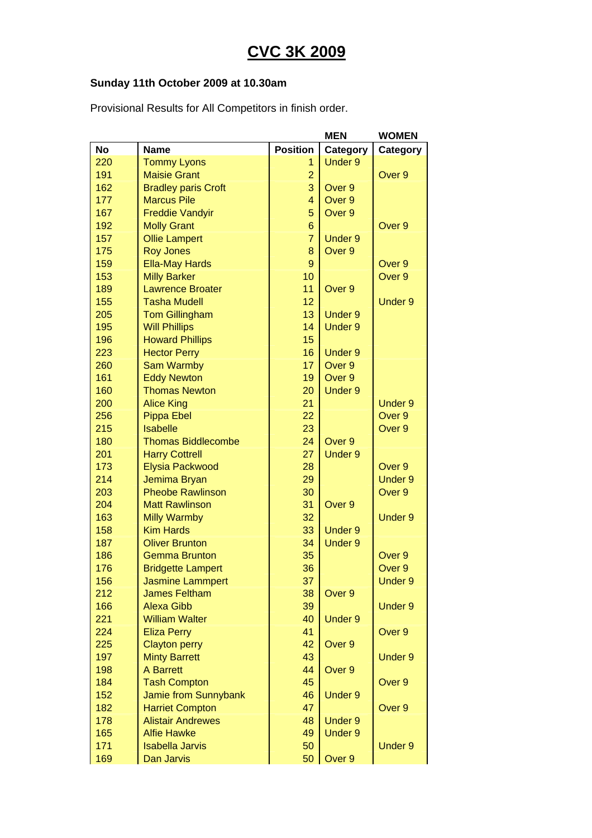## **CVC 3K 2009**

## **Sunday 11th October 2009 at 10.30am**

Provisional Results for All Competitors in finish order.

| <b>Position</b><br><b>No</b><br><b>Name</b><br>Category<br>Category<br><b>Under 9</b><br>220<br><b>Tommy Lyons</b><br>1<br><b>Maisie Grant</b><br>Over 9<br>191<br>$\overline{2}$<br>3<br>162<br>Over 9<br><b>Bradley paris Croft</b><br>177<br>$\overline{4}$<br>Over 9<br><b>Marcus Pile</b><br>5<br>167<br><b>Freddie Vandyir</b><br>Over 9<br>192<br>$6\phantom{1}$<br><b>Molly Grant</b><br>Over 9<br>$\overline{7}$<br>157<br><b>Ollie Lampert</b><br><b>Under 9</b><br>175<br><b>Roy Jones</b><br>8<br>Over 9<br>9<br>159<br><b>Ella-May Hards</b><br>Over 9<br>153<br><b>Milly Barker</b><br>10<br>Over 9<br>189<br><b>Lawrence Broater</b><br>11<br>Over 9<br>155<br>12<br><b>Tasha Mudell</b><br><b>Under 9</b><br>13<br>205<br><b>Tom Gillingham</b><br><b>Under 9</b><br>195<br><b>Will Phillips</b><br>14<br><b>Under 9</b><br>196<br><b>Howard Phillips</b><br>15<br>16<br><b>Under 9</b><br>223<br><b>Hector Perry</b><br>17<br>Over 9<br>260<br><b>Sam Warmby</b><br>161<br>19<br>Over 9<br><b>Eddy Newton</b><br>160<br><b>Thomas Newton</b><br>20<br><b>Under 9</b><br>200<br>21<br><b>Under 9</b><br><b>Alice King</b><br>22<br>Over 9<br>256<br><b>Pippa Ebel</b><br>23<br>215<br><b>Isabelle</b><br>Over 9<br>180<br>24<br>Over 9<br><b>Thomas Biddlecombe</b><br>27<br><b>Under 9</b><br>201<br><b>Harry Cottrell</b><br>Elysia Packwood<br>28<br>Over 9<br>173<br>214<br>29<br><b>Under 9</b><br>Jemima Bryan<br>203<br><b>Pheobe Rawlinson</b><br>30<br>Over <sub>9</sub><br>204<br><b>Matt Rawlinson</b><br>31<br>Over 9<br>163<br>32<br><b>Milly Warmby</b><br><b>Under 9</b><br><b>Kim Hards</b><br>158<br>33<br><b>Under 9</b><br>34<br><b>Under 9</b><br>187<br><b>Oliver Brunton</b><br>186<br><b>Gemma Brunton</b><br>35<br>Over 9<br>36<br>Over 9<br>176<br><b>Bridgette Lampert</b><br>156<br><b>Jasmine Lammpert</b><br>37<br>Under 9<br>212<br><b>James Feltham</b><br>38<br>Over 9<br>166<br><b>Alexa Gibb</b><br>39<br><b>Under 9</b><br>221<br><b>William Walter</b><br>40<br><b>Under 9</b><br>224<br><b>Eliza Perry</b><br>41<br>Over 9<br>42<br>Over 9<br>225<br><b>Clayton perry</b><br>197<br><b>Minty Barrett</b><br>43<br><b>Under 9</b><br>44<br><b>A Barrett</b><br>Over 9<br>198<br>45<br>184<br><b>Tash Compton</b><br>Over 9<br>152<br>Jamie from Sunnybank<br>46<br><b>Under 9</b><br>182<br><b>Harriet Compton</b><br>47<br>Over 9<br><b>Alistair Andrewes</b><br>48<br><b>Under 9</b><br>178<br><b>Alfie Hawke</b><br>49<br><b>Under 9</b><br>165<br>171<br><b>Isabella Jarvis</b><br>50<br><b>Under 9</b> |     |                   |    | <b>MEN</b> | <b>WOMEN</b> |
|-----------------------------------------------------------------------------------------------------------------------------------------------------------------------------------------------------------------------------------------------------------------------------------------------------------------------------------------------------------------------------------------------------------------------------------------------------------------------------------------------------------------------------------------------------------------------------------------------------------------------------------------------------------------------------------------------------------------------------------------------------------------------------------------------------------------------------------------------------------------------------------------------------------------------------------------------------------------------------------------------------------------------------------------------------------------------------------------------------------------------------------------------------------------------------------------------------------------------------------------------------------------------------------------------------------------------------------------------------------------------------------------------------------------------------------------------------------------------------------------------------------------------------------------------------------------------------------------------------------------------------------------------------------------------------------------------------------------------------------------------------------------------------------------------------------------------------------------------------------------------------------------------------------------------------------------------------------------------------------------------------------------------------------------------------------------------------------------------------------------------------------------------------------------------------------------------------------------------------------------------------------------------------------------------------------------------------------------------------------------------------------------------------------------------------------------------------------------------------------------------------------------------------------------------------------------|-----|-------------------|----|------------|--------------|
|                                                                                                                                                                                                                                                                                                                                                                                                                                                                                                                                                                                                                                                                                                                                                                                                                                                                                                                                                                                                                                                                                                                                                                                                                                                                                                                                                                                                                                                                                                                                                                                                                                                                                                                                                                                                                                                                                                                                                                                                                                                                                                                                                                                                                                                                                                                                                                                                                                                                                                                                                                 |     |                   |    |            |              |
|                                                                                                                                                                                                                                                                                                                                                                                                                                                                                                                                                                                                                                                                                                                                                                                                                                                                                                                                                                                                                                                                                                                                                                                                                                                                                                                                                                                                                                                                                                                                                                                                                                                                                                                                                                                                                                                                                                                                                                                                                                                                                                                                                                                                                                                                                                                                                                                                                                                                                                                                                                 |     |                   |    |            |              |
|                                                                                                                                                                                                                                                                                                                                                                                                                                                                                                                                                                                                                                                                                                                                                                                                                                                                                                                                                                                                                                                                                                                                                                                                                                                                                                                                                                                                                                                                                                                                                                                                                                                                                                                                                                                                                                                                                                                                                                                                                                                                                                                                                                                                                                                                                                                                                                                                                                                                                                                                                                 |     |                   |    |            |              |
|                                                                                                                                                                                                                                                                                                                                                                                                                                                                                                                                                                                                                                                                                                                                                                                                                                                                                                                                                                                                                                                                                                                                                                                                                                                                                                                                                                                                                                                                                                                                                                                                                                                                                                                                                                                                                                                                                                                                                                                                                                                                                                                                                                                                                                                                                                                                                                                                                                                                                                                                                                 |     |                   |    |            |              |
|                                                                                                                                                                                                                                                                                                                                                                                                                                                                                                                                                                                                                                                                                                                                                                                                                                                                                                                                                                                                                                                                                                                                                                                                                                                                                                                                                                                                                                                                                                                                                                                                                                                                                                                                                                                                                                                                                                                                                                                                                                                                                                                                                                                                                                                                                                                                                                                                                                                                                                                                                                 |     |                   |    |            |              |
|                                                                                                                                                                                                                                                                                                                                                                                                                                                                                                                                                                                                                                                                                                                                                                                                                                                                                                                                                                                                                                                                                                                                                                                                                                                                                                                                                                                                                                                                                                                                                                                                                                                                                                                                                                                                                                                                                                                                                                                                                                                                                                                                                                                                                                                                                                                                                                                                                                                                                                                                                                 |     |                   |    |            |              |
|                                                                                                                                                                                                                                                                                                                                                                                                                                                                                                                                                                                                                                                                                                                                                                                                                                                                                                                                                                                                                                                                                                                                                                                                                                                                                                                                                                                                                                                                                                                                                                                                                                                                                                                                                                                                                                                                                                                                                                                                                                                                                                                                                                                                                                                                                                                                                                                                                                                                                                                                                                 |     |                   |    |            |              |
|                                                                                                                                                                                                                                                                                                                                                                                                                                                                                                                                                                                                                                                                                                                                                                                                                                                                                                                                                                                                                                                                                                                                                                                                                                                                                                                                                                                                                                                                                                                                                                                                                                                                                                                                                                                                                                                                                                                                                                                                                                                                                                                                                                                                                                                                                                                                                                                                                                                                                                                                                                 |     |                   |    |            |              |
|                                                                                                                                                                                                                                                                                                                                                                                                                                                                                                                                                                                                                                                                                                                                                                                                                                                                                                                                                                                                                                                                                                                                                                                                                                                                                                                                                                                                                                                                                                                                                                                                                                                                                                                                                                                                                                                                                                                                                                                                                                                                                                                                                                                                                                                                                                                                                                                                                                                                                                                                                                 |     |                   |    |            |              |
|                                                                                                                                                                                                                                                                                                                                                                                                                                                                                                                                                                                                                                                                                                                                                                                                                                                                                                                                                                                                                                                                                                                                                                                                                                                                                                                                                                                                                                                                                                                                                                                                                                                                                                                                                                                                                                                                                                                                                                                                                                                                                                                                                                                                                                                                                                                                                                                                                                                                                                                                                                 |     |                   |    |            |              |
|                                                                                                                                                                                                                                                                                                                                                                                                                                                                                                                                                                                                                                                                                                                                                                                                                                                                                                                                                                                                                                                                                                                                                                                                                                                                                                                                                                                                                                                                                                                                                                                                                                                                                                                                                                                                                                                                                                                                                                                                                                                                                                                                                                                                                                                                                                                                                                                                                                                                                                                                                                 |     |                   |    |            |              |
|                                                                                                                                                                                                                                                                                                                                                                                                                                                                                                                                                                                                                                                                                                                                                                                                                                                                                                                                                                                                                                                                                                                                                                                                                                                                                                                                                                                                                                                                                                                                                                                                                                                                                                                                                                                                                                                                                                                                                                                                                                                                                                                                                                                                                                                                                                                                                                                                                                                                                                                                                                 |     |                   |    |            |              |
|                                                                                                                                                                                                                                                                                                                                                                                                                                                                                                                                                                                                                                                                                                                                                                                                                                                                                                                                                                                                                                                                                                                                                                                                                                                                                                                                                                                                                                                                                                                                                                                                                                                                                                                                                                                                                                                                                                                                                                                                                                                                                                                                                                                                                                                                                                                                                                                                                                                                                                                                                                 |     |                   |    |            |              |
|                                                                                                                                                                                                                                                                                                                                                                                                                                                                                                                                                                                                                                                                                                                                                                                                                                                                                                                                                                                                                                                                                                                                                                                                                                                                                                                                                                                                                                                                                                                                                                                                                                                                                                                                                                                                                                                                                                                                                                                                                                                                                                                                                                                                                                                                                                                                                                                                                                                                                                                                                                 |     |                   |    |            |              |
|                                                                                                                                                                                                                                                                                                                                                                                                                                                                                                                                                                                                                                                                                                                                                                                                                                                                                                                                                                                                                                                                                                                                                                                                                                                                                                                                                                                                                                                                                                                                                                                                                                                                                                                                                                                                                                                                                                                                                                                                                                                                                                                                                                                                                                                                                                                                                                                                                                                                                                                                                                 |     |                   |    |            |              |
|                                                                                                                                                                                                                                                                                                                                                                                                                                                                                                                                                                                                                                                                                                                                                                                                                                                                                                                                                                                                                                                                                                                                                                                                                                                                                                                                                                                                                                                                                                                                                                                                                                                                                                                                                                                                                                                                                                                                                                                                                                                                                                                                                                                                                                                                                                                                                                                                                                                                                                                                                                 |     |                   |    |            |              |
|                                                                                                                                                                                                                                                                                                                                                                                                                                                                                                                                                                                                                                                                                                                                                                                                                                                                                                                                                                                                                                                                                                                                                                                                                                                                                                                                                                                                                                                                                                                                                                                                                                                                                                                                                                                                                                                                                                                                                                                                                                                                                                                                                                                                                                                                                                                                                                                                                                                                                                                                                                 |     |                   |    |            |              |
|                                                                                                                                                                                                                                                                                                                                                                                                                                                                                                                                                                                                                                                                                                                                                                                                                                                                                                                                                                                                                                                                                                                                                                                                                                                                                                                                                                                                                                                                                                                                                                                                                                                                                                                                                                                                                                                                                                                                                                                                                                                                                                                                                                                                                                                                                                                                                                                                                                                                                                                                                                 |     |                   |    |            |              |
|                                                                                                                                                                                                                                                                                                                                                                                                                                                                                                                                                                                                                                                                                                                                                                                                                                                                                                                                                                                                                                                                                                                                                                                                                                                                                                                                                                                                                                                                                                                                                                                                                                                                                                                                                                                                                                                                                                                                                                                                                                                                                                                                                                                                                                                                                                                                                                                                                                                                                                                                                                 |     |                   |    |            |              |
|                                                                                                                                                                                                                                                                                                                                                                                                                                                                                                                                                                                                                                                                                                                                                                                                                                                                                                                                                                                                                                                                                                                                                                                                                                                                                                                                                                                                                                                                                                                                                                                                                                                                                                                                                                                                                                                                                                                                                                                                                                                                                                                                                                                                                                                                                                                                                                                                                                                                                                                                                                 |     |                   |    |            |              |
|                                                                                                                                                                                                                                                                                                                                                                                                                                                                                                                                                                                                                                                                                                                                                                                                                                                                                                                                                                                                                                                                                                                                                                                                                                                                                                                                                                                                                                                                                                                                                                                                                                                                                                                                                                                                                                                                                                                                                                                                                                                                                                                                                                                                                                                                                                                                                                                                                                                                                                                                                                 |     |                   |    |            |              |
|                                                                                                                                                                                                                                                                                                                                                                                                                                                                                                                                                                                                                                                                                                                                                                                                                                                                                                                                                                                                                                                                                                                                                                                                                                                                                                                                                                                                                                                                                                                                                                                                                                                                                                                                                                                                                                                                                                                                                                                                                                                                                                                                                                                                                                                                                                                                                                                                                                                                                                                                                                 |     |                   |    |            |              |
|                                                                                                                                                                                                                                                                                                                                                                                                                                                                                                                                                                                                                                                                                                                                                                                                                                                                                                                                                                                                                                                                                                                                                                                                                                                                                                                                                                                                                                                                                                                                                                                                                                                                                                                                                                                                                                                                                                                                                                                                                                                                                                                                                                                                                                                                                                                                                                                                                                                                                                                                                                 |     |                   |    |            |              |
|                                                                                                                                                                                                                                                                                                                                                                                                                                                                                                                                                                                                                                                                                                                                                                                                                                                                                                                                                                                                                                                                                                                                                                                                                                                                                                                                                                                                                                                                                                                                                                                                                                                                                                                                                                                                                                                                                                                                                                                                                                                                                                                                                                                                                                                                                                                                                                                                                                                                                                                                                                 |     |                   |    |            |              |
|                                                                                                                                                                                                                                                                                                                                                                                                                                                                                                                                                                                                                                                                                                                                                                                                                                                                                                                                                                                                                                                                                                                                                                                                                                                                                                                                                                                                                                                                                                                                                                                                                                                                                                                                                                                                                                                                                                                                                                                                                                                                                                                                                                                                                                                                                                                                                                                                                                                                                                                                                                 |     |                   |    |            |              |
|                                                                                                                                                                                                                                                                                                                                                                                                                                                                                                                                                                                                                                                                                                                                                                                                                                                                                                                                                                                                                                                                                                                                                                                                                                                                                                                                                                                                                                                                                                                                                                                                                                                                                                                                                                                                                                                                                                                                                                                                                                                                                                                                                                                                                                                                                                                                                                                                                                                                                                                                                                 |     |                   |    |            |              |
|                                                                                                                                                                                                                                                                                                                                                                                                                                                                                                                                                                                                                                                                                                                                                                                                                                                                                                                                                                                                                                                                                                                                                                                                                                                                                                                                                                                                                                                                                                                                                                                                                                                                                                                                                                                                                                                                                                                                                                                                                                                                                                                                                                                                                                                                                                                                                                                                                                                                                                                                                                 |     |                   |    |            |              |
|                                                                                                                                                                                                                                                                                                                                                                                                                                                                                                                                                                                                                                                                                                                                                                                                                                                                                                                                                                                                                                                                                                                                                                                                                                                                                                                                                                                                                                                                                                                                                                                                                                                                                                                                                                                                                                                                                                                                                                                                                                                                                                                                                                                                                                                                                                                                                                                                                                                                                                                                                                 |     |                   |    |            |              |
|                                                                                                                                                                                                                                                                                                                                                                                                                                                                                                                                                                                                                                                                                                                                                                                                                                                                                                                                                                                                                                                                                                                                                                                                                                                                                                                                                                                                                                                                                                                                                                                                                                                                                                                                                                                                                                                                                                                                                                                                                                                                                                                                                                                                                                                                                                                                                                                                                                                                                                                                                                 |     |                   |    |            |              |
|                                                                                                                                                                                                                                                                                                                                                                                                                                                                                                                                                                                                                                                                                                                                                                                                                                                                                                                                                                                                                                                                                                                                                                                                                                                                                                                                                                                                                                                                                                                                                                                                                                                                                                                                                                                                                                                                                                                                                                                                                                                                                                                                                                                                                                                                                                                                                                                                                                                                                                                                                                 |     |                   |    |            |              |
|                                                                                                                                                                                                                                                                                                                                                                                                                                                                                                                                                                                                                                                                                                                                                                                                                                                                                                                                                                                                                                                                                                                                                                                                                                                                                                                                                                                                                                                                                                                                                                                                                                                                                                                                                                                                                                                                                                                                                                                                                                                                                                                                                                                                                                                                                                                                                                                                                                                                                                                                                                 |     |                   |    |            |              |
|                                                                                                                                                                                                                                                                                                                                                                                                                                                                                                                                                                                                                                                                                                                                                                                                                                                                                                                                                                                                                                                                                                                                                                                                                                                                                                                                                                                                                                                                                                                                                                                                                                                                                                                                                                                                                                                                                                                                                                                                                                                                                                                                                                                                                                                                                                                                                                                                                                                                                                                                                                 |     |                   |    |            |              |
|                                                                                                                                                                                                                                                                                                                                                                                                                                                                                                                                                                                                                                                                                                                                                                                                                                                                                                                                                                                                                                                                                                                                                                                                                                                                                                                                                                                                                                                                                                                                                                                                                                                                                                                                                                                                                                                                                                                                                                                                                                                                                                                                                                                                                                                                                                                                                                                                                                                                                                                                                                 |     |                   |    |            |              |
|                                                                                                                                                                                                                                                                                                                                                                                                                                                                                                                                                                                                                                                                                                                                                                                                                                                                                                                                                                                                                                                                                                                                                                                                                                                                                                                                                                                                                                                                                                                                                                                                                                                                                                                                                                                                                                                                                                                                                                                                                                                                                                                                                                                                                                                                                                                                                                                                                                                                                                                                                                 |     |                   |    |            |              |
|                                                                                                                                                                                                                                                                                                                                                                                                                                                                                                                                                                                                                                                                                                                                                                                                                                                                                                                                                                                                                                                                                                                                                                                                                                                                                                                                                                                                                                                                                                                                                                                                                                                                                                                                                                                                                                                                                                                                                                                                                                                                                                                                                                                                                                                                                                                                                                                                                                                                                                                                                                 |     |                   |    |            |              |
|                                                                                                                                                                                                                                                                                                                                                                                                                                                                                                                                                                                                                                                                                                                                                                                                                                                                                                                                                                                                                                                                                                                                                                                                                                                                                                                                                                                                                                                                                                                                                                                                                                                                                                                                                                                                                                                                                                                                                                                                                                                                                                                                                                                                                                                                                                                                                                                                                                                                                                                                                                 |     |                   |    |            |              |
|                                                                                                                                                                                                                                                                                                                                                                                                                                                                                                                                                                                                                                                                                                                                                                                                                                                                                                                                                                                                                                                                                                                                                                                                                                                                                                                                                                                                                                                                                                                                                                                                                                                                                                                                                                                                                                                                                                                                                                                                                                                                                                                                                                                                                                                                                                                                                                                                                                                                                                                                                                 |     |                   |    |            |              |
|                                                                                                                                                                                                                                                                                                                                                                                                                                                                                                                                                                                                                                                                                                                                                                                                                                                                                                                                                                                                                                                                                                                                                                                                                                                                                                                                                                                                                                                                                                                                                                                                                                                                                                                                                                                                                                                                                                                                                                                                                                                                                                                                                                                                                                                                                                                                                                                                                                                                                                                                                                 |     |                   |    |            |              |
|                                                                                                                                                                                                                                                                                                                                                                                                                                                                                                                                                                                                                                                                                                                                                                                                                                                                                                                                                                                                                                                                                                                                                                                                                                                                                                                                                                                                                                                                                                                                                                                                                                                                                                                                                                                                                                                                                                                                                                                                                                                                                                                                                                                                                                                                                                                                                                                                                                                                                                                                                                 |     |                   |    |            |              |
|                                                                                                                                                                                                                                                                                                                                                                                                                                                                                                                                                                                                                                                                                                                                                                                                                                                                                                                                                                                                                                                                                                                                                                                                                                                                                                                                                                                                                                                                                                                                                                                                                                                                                                                                                                                                                                                                                                                                                                                                                                                                                                                                                                                                                                                                                                                                                                                                                                                                                                                                                                 |     |                   |    |            |              |
|                                                                                                                                                                                                                                                                                                                                                                                                                                                                                                                                                                                                                                                                                                                                                                                                                                                                                                                                                                                                                                                                                                                                                                                                                                                                                                                                                                                                                                                                                                                                                                                                                                                                                                                                                                                                                                                                                                                                                                                                                                                                                                                                                                                                                                                                                                                                                                                                                                                                                                                                                                 |     |                   |    |            |              |
|                                                                                                                                                                                                                                                                                                                                                                                                                                                                                                                                                                                                                                                                                                                                                                                                                                                                                                                                                                                                                                                                                                                                                                                                                                                                                                                                                                                                                                                                                                                                                                                                                                                                                                                                                                                                                                                                                                                                                                                                                                                                                                                                                                                                                                                                                                                                                                                                                                                                                                                                                                 |     |                   |    |            |              |
|                                                                                                                                                                                                                                                                                                                                                                                                                                                                                                                                                                                                                                                                                                                                                                                                                                                                                                                                                                                                                                                                                                                                                                                                                                                                                                                                                                                                                                                                                                                                                                                                                                                                                                                                                                                                                                                                                                                                                                                                                                                                                                                                                                                                                                                                                                                                                                                                                                                                                                                                                                 |     |                   |    |            |              |
|                                                                                                                                                                                                                                                                                                                                                                                                                                                                                                                                                                                                                                                                                                                                                                                                                                                                                                                                                                                                                                                                                                                                                                                                                                                                                                                                                                                                                                                                                                                                                                                                                                                                                                                                                                                                                                                                                                                                                                                                                                                                                                                                                                                                                                                                                                                                                                                                                                                                                                                                                                 |     |                   |    |            |              |
|                                                                                                                                                                                                                                                                                                                                                                                                                                                                                                                                                                                                                                                                                                                                                                                                                                                                                                                                                                                                                                                                                                                                                                                                                                                                                                                                                                                                                                                                                                                                                                                                                                                                                                                                                                                                                                                                                                                                                                                                                                                                                                                                                                                                                                                                                                                                                                                                                                                                                                                                                                 |     |                   |    |            |              |
|                                                                                                                                                                                                                                                                                                                                                                                                                                                                                                                                                                                                                                                                                                                                                                                                                                                                                                                                                                                                                                                                                                                                                                                                                                                                                                                                                                                                                                                                                                                                                                                                                                                                                                                                                                                                                                                                                                                                                                                                                                                                                                                                                                                                                                                                                                                                                                                                                                                                                                                                                                 |     |                   |    |            |              |
|                                                                                                                                                                                                                                                                                                                                                                                                                                                                                                                                                                                                                                                                                                                                                                                                                                                                                                                                                                                                                                                                                                                                                                                                                                                                                                                                                                                                                                                                                                                                                                                                                                                                                                                                                                                                                                                                                                                                                                                                                                                                                                                                                                                                                                                                                                                                                                                                                                                                                                                                                                 |     |                   |    |            |              |
|                                                                                                                                                                                                                                                                                                                                                                                                                                                                                                                                                                                                                                                                                                                                                                                                                                                                                                                                                                                                                                                                                                                                                                                                                                                                                                                                                                                                                                                                                                                                                                                                                                                                                                                                                                                                                                                                                                                                                                                                                                                                                                                                                                                                                                                                                                                                                                                                                                                                                                                                                                 |     |                   |    |            |              |
|                                                                                                                                                                                                                                                                                                                                                                                                                                                                                                                                                                                                                                                                                                                                                                                                                                                                                                                                                                                                                                                                                                                                                                                                                                                                                                                                                                                                                                                                                                                                                                                                                                                                                                                                                                                                                                                                                                                                                                                                                                                                                                                                                                                                                                                                                                                                                                                                                                                                                                                                                                 | 169 | <b>Dan Jarvis</b> | 50 | Over 9     |              |